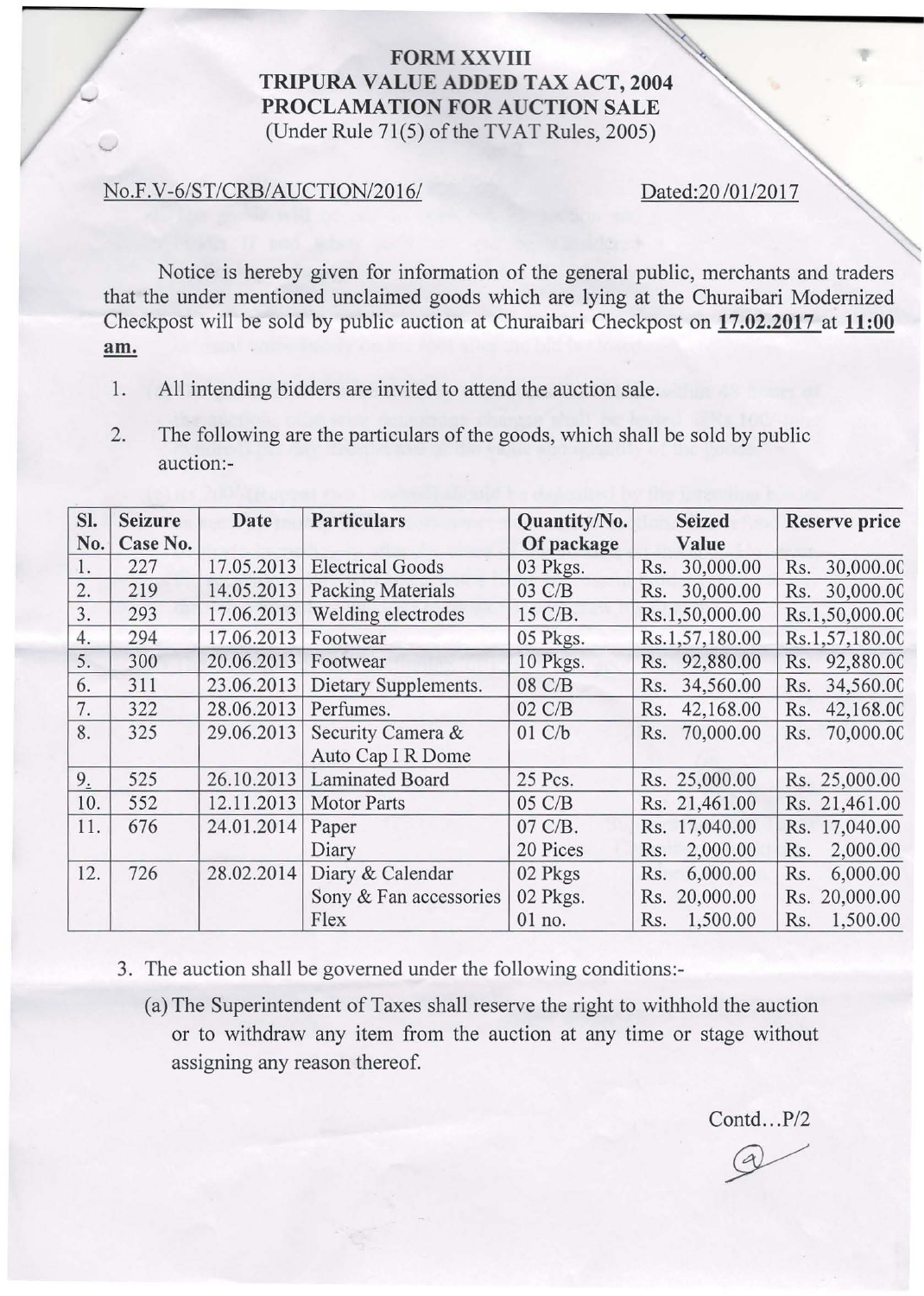## **FORM XXVIII** TRIPURA VALUE ADDED TAX ACT, 2004 PROCLAMATION FOR AUCTION SALE (Under Rule 71(5) of the TVAT Rules, 2005)

## No.F.V-6/ST/CRB/AUCTION/2016/ Dated:20 /01/2017

Notice is hereby given for information of the general public, merchants and traders that the under mentioned unclaimed goods which are lying at the Churaibari Modernized Checkpost will be sold by public auction at Churaibari Checkpost on 17.02.2017 at 11:00 am.

- 1. All intending bidders are invited to attend the auction sale.
- 2. The following are the particulars of the goods, which shall be sold by public auction:-

| SI. | <b>Seizure</b> | Date       | <b>Particulars</b>       | Quantity/No. | <b>Seized</b>    | <b>Reserve price</b> |
|-----|----------------|------------|--------------------------|--------------|------------------|----------------------|
| No. | Case No.       |            |                          | Of package   | Value            |                      |
| 1.  | 227            | 17.05.2013 | <b>Electrical Goods</b>  | 03 Pkgs.     | 30,000.00<br>Rs. | 30,000.00<br>Rs.     |
| 2.  | 219            | 14.05.2013 | <b>Packing Materials</b> | 03 C/B       | 30,000.00<br>Rs. | 30,000.00<br>Rs.     |
| 3.  | 293            | 17.06.2013 | Welding electrodes       | 15 C/B.      | Rs.1,50,000.00   | Rs.1,50,000.00       |
| 4.  | 294            | 17.06.2013 | Footwear                 | 05 Pkgs.     | Rs.1,57,180.00   | Rs.1,57,180.00       |
| 5.  | 300            | 20.06.2013 | Footwear                 | 10 Pkgs.     | 92,880.00<br>Rs. | 92,880.00<br>Rs.     |
| 6.  | 311            | 23.06.2013 | Dietary Supplements.     | 08 C/B       | 34,560.00<br>Rs. | 34,560.00<br>Rs.     |
| 7.  | 322            | 28.06.2013 | Perfumes.                | 02 C/B       | 42,168.00<br>Rs. | 42,168.00<br>Rs.     |
| 8.  | 325            | 29.06.2013 | Security Camera &        | 01 C/b       | 70,000.00<br>Rs. | 70,000.00<br>Rs.     |
|     |                |            | Auto Cap I R Dome        |              |                  |                      |
| 9.5 | 525            | 26.10.2013 | <b>Laminated Board</b>   | 25 Pcs.      | Rs. 25,000.00    | Rs. 25,000.00        |
| 10. | 552            | 12.11.2013 | <b>Motor Parts</b>       | 05 C/B       | Rs. 21,461.00    | Rs. 21,461.00        |
| 11. | 676            | 24.01.2014 | Paper                    | 07 C/B.      | Rs. 17,040.00    | 17,040.00<br>Rs.     |
|     |                |            | Diary                    | 20 Pices     | 2,000.00<br>Rs.  | 2,000.00<br>Rs.      |
| 12. | 726            | 28.02.2014 | Diary & Calendar         | 02 Pkgs      | 6,000.00<br>Rs.  | 6,000.00<br>Rs.      |
|     |                |            | Sony & Fan accessories   | 02 Pkgs.     | Rs. 20,000.00    | 20,000.00<br>Rs.     |
|     |                |            | Flex                     | 01 no.       | 1,500.00<br>Rs.  | 1,500.00<br>Rs.      |

- 3. The auction shall be governed under the following conditions:-
	- ( a) The Superintendent of Taxes shall reserve the right to withhold the auction or to withdraw any item from the auction at any time or stage without assigning any reason thereof.

Contd...P/2